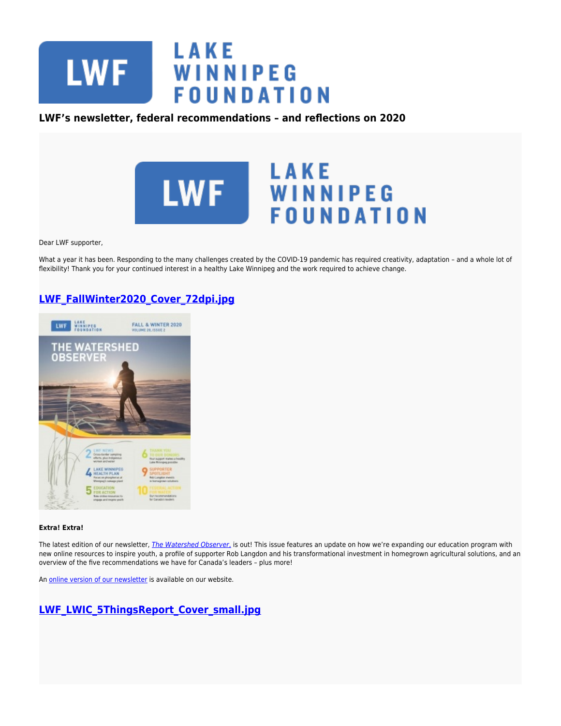

### **LWF's newsletter, federal recommendations – and reflections on 2020**



Dear LWF supporter,

What a year it has been. Responding to the many challenges created by the COVID-19 pandemic has required creativity, adaptation – and a whole lot of flexibility! Thank you for your continued interest in a healthy Lake Winnipeg and the work required to achieve change.

# **[LWF\\_FallWinter2020\\_Cover\\_72dpi.jpg](https://lakewinnipegfoundation.org/file/lwffallwinter2020cover72dpijpg)**



### **Extra! Extra!**

The latest edition of our newsletter, [The Watershed Observer](https://www.lakewinnipegfoundation.org/sites/default/files/Fall%20%26%20Winter%202020.pdf)[,](https://www.lakewinnipegfoundation.org/sites/default/files/Fall%20%26%20Winter%202020.pdf) is out! This issue features an update on how we're expanding our education program with new online resources to inspire youth, a profile of supporter Rob Langdon and his transformational investment in homegrown agricultural solutions, and an overview of the five recommendations we have for Canada's leaders – plus more!

An [online version of our newsletter](https://www.lakewinnipegfoundation.org/sites/default/files/Fall%20%26%20Winter%202020.pdf) is available on our website.

## **[LWF\\_LWIC\\_5ThingsReport\\_Cover\\_small.jpg](https://lakewinnipegfoundation.org/file/lwflwic5thingsreportcoversmalljpg)**